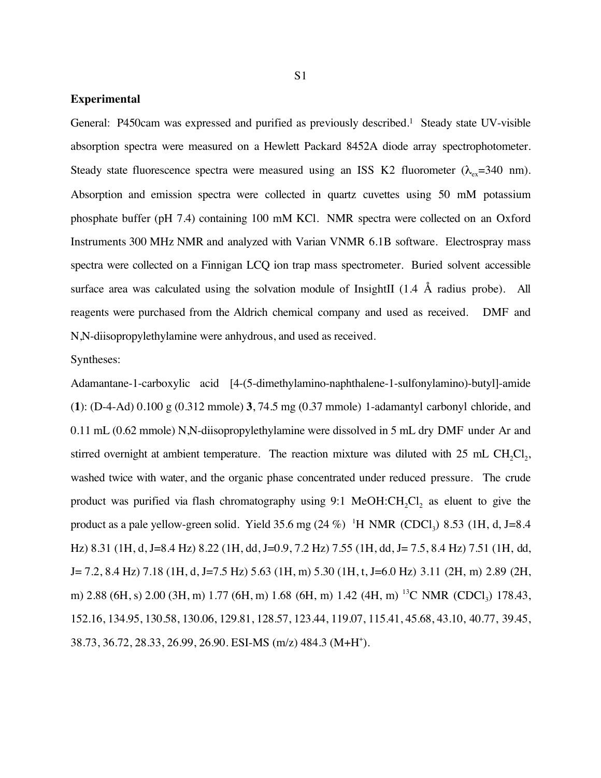## **Experimental**

General: P450cam was expressed and purified as previously described.1 Steady state UV-visible absorption spectra were measured on a Hewlett Packard 8452A diode array spectrophotometer. Steady state fluorescence spectra were measured using an ISS K2 fluorometer ( $\lambda_{ex}=340$  nm). Absorption and emission spectra were collected in quartz cuvettes using 50 mM potassium phosphate buffer (pH 7.4) containing 100 mM KCl. NMR spectra were collected on an Oxford Instruments 300 MHz NMR and analyzed with Varian VNMR 6.1B software. Electrospray mass spectra were collected on a Finnigan LCQ ion trap mass spectrometer. Buried solvent accessible surface area was calculated using the solvation module of InsightII (1.4 Å radius probe). All reagents were purchased from the Aldrich chemical company and used as received. DMF and N,N-diisopropylethylamine were anhydrous, and used as received.

## Syntheses:

Adamantane-1-carboxylic acid [4-(5-dimethylamino-naphthalene-1-sulfonylamino)-butyl]-amide (**1**): (D-4-Ad) 0.100 g (0.312 mmole) **3**, 74.5 mg (0.37 mmole) 1-adamantyl carbonyl chloride, and 0.11 mL (0.62 mmole) N,N-diisopropylethylamine were dissolved in 5 mL dry DMF under Ar and stirred overnight at ambient temperature. The reaction mixture was diluted with  $25 \text{ mL CH}_{2}Cl_{2}$ , washed twice with water, and the organic phase concentrated under reduced pressure. The crude product was purified via flash chromatography using 9:1 MeOH:CH<sub>2</sub>Cl<sub>2</sub> as eluent to give the product as a pale yellow-green solid. Yield 35.6 mg  $(24\%)$ <sup>1</sup>H NMR  $(CDCl_3)$  8.53 (1H, d, J=8.4) Hz) 8.31 (1H, d, J=8.4 Hz) 8.22 (1H, dd, J=0.9, 7.2 Hz) 7.55 (1H, dd, J= 7.5, 8.4 Hz) 7.51 (1H, dd, J= 7.2, 8.4 Hz) 7.18 (1H, d, J=7.5 Hz) 5.63 (1H, m) 5.30 (1H, t, J=6.0 Hz) 3.11 (2H, m) 2.89 (2H, m) 2.88 (6H, s) 2.00 (3H, m) 1.77 (6H, m) 1.68 (6H, m) 1.42 (4H, m) <sup>13</sup>C NMR (CDCl<sub>2</sub>) 178.43, 152.16, 134.95, 130.58, 130.06, 129.81, 128.57, 123.44, 119.07, 115.41, 45.68, 43.10, 40.77, 39.45, 38.73, 36.72, 28.33, 26.99, 26.90. ESI-MS (m/z) 484.3 (M+H+ ).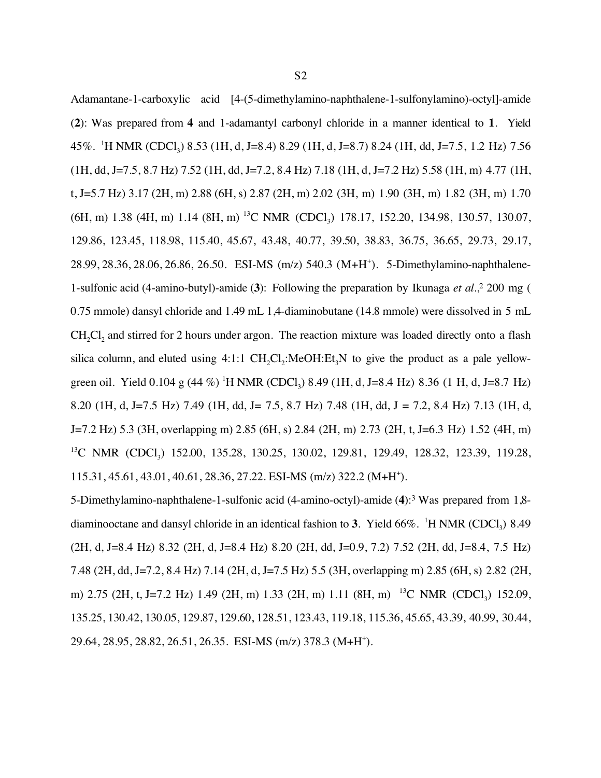Adamantane-1-carboxylic acid [4-(5-dimethylamino-naphthalene-1-sulfonylamino)-octyl]-amide (**2**): Was prepared from **4** and 1-adamantyl carbonyl chloride in a manner identical to **1**. Yield 45%. <sup>1</sup>H NMR (CDCl<sub>3</sub>) 8.53 (1H, d, J=8.4) 8.29 (1H, d, J=8.7) 8.24 (1H, dd, J=7.5, 1.2 Hz) 7.56 (1H, dd, J=7.5, 8.7 Hz) 7.52 (1H, dd, J=7.2, 8.4 Hz) 7.18 (1H, d, J=7.2 Hz) 5.58 (1H, m) 4.77 (1H, t, J=5.7 Hz) 3.17 (2H, m) 2.88 (6H, s) 2.87 (2H, m) 2.02 (3H, m) 1.90 (3H, m) 1.82 (3H, m) 1.70  $(6H, m)$  1.38 (4H, m) 1.14 (8H, m) <sup>13</sup>C NMR (CDCl<sub>3</sub>) 178.17, 152.20, 134.98, 130.57, 130.07, 129.86, 123.45, 118.98, 115.40, 45.67, 43.48, 40.77, 39.50, 38.83, 36.75, 36.65, 29.73, 29.17, 28.99, 28.36, 28.06, 26.86, 26.50. ESI-MS (m/z) 540.3 (M+H+ ). 5-Dimethylamino-naphthalene-1-sulfonic acid (4-amino-butyl)-amide (**3**): Following the preparation by Ikunaga *et al*.,2 200 mg ( 0.75 mmole) dansyl chloride and 1.49 mL 1,4-diaminobutane (14.8 mmole) were dissolved in 5 mL CH<sub>2</sub>Cl<sub>2</sub> and stirred for 2 hours under argon. The reaction mixture was loaded directly onto a flash silica column, and eluted using  $4:1:1 \text{ CH}_{2}Cl_{2}:MeOH:Et_{3}N$  to give the product as a pale yellowgreen oil. Yield 0.104 g (44 %) <sup>1</sup>H NMR (CDCl<sub>3</sub>) 8.49 (1H, d, J=8.4 Hz) 8.36 (1 H, d, J=8.7 Hz) 8.20 (1H, d, J=7.5 Hz) 7.49 (1H, dd, J= 7.5, 8.7 Hz) 7.48 (1H, dd, J = 7.2, 8.4 Hz) 7.13 (1H, d, J=7.2 Hz) 5.3 (3H, overlapping m) 2.85 (6H, s) 2.84 (2H, m) 2.73 (2H, t, J=6.3 Hz) 1.52 (4H, m) <sup>13</sup>C NMR (CDCl<sub>3</sub>) 152.00, 135.28, 130.25, 130.02, 129.81, 129.49, 128.32, 123.39, 119.28, 115.31, 45.61, 43.01, 40.61, 28.36, 27.22. ESI-MS (m/z) 322.2 (M+H+ ).

5-Dimethylamino-naphthalene-1-sulfonic acid (4-amino-octyl)-amide (**4**):3 Was prepared from 1,8 diaminooctane and dansyl chloride in an identical fashion to **3**. Yield  $66\%$ . <sup>1</sup>H NMR (CDCl<sub>3</sub>) 8.49 (2H, d, J=8.4 Hz) 8.32 (2H, d, J=8.4 Hz) 8.20 (2H, dd, J=0.9, 7.2) 7.52 (2H, dd, J=8.4, 7.5 Hz) 7.48 (2H, dd, J=7.2, 8.4 Hz) 7.14 (2H, d, J=7.5 Hz) 5.5 (3H, overlapping m) 2.85 (6H, s) 2.82 (2H, m) 2.75 (2H, t, J=7.2 Hz) 1.49 (2H, m) 1.33 (2H, m) 1.11 (8H, m) <sup>13</sup>C NMR (CDCl<sub>3</sub>) 152.09, 135.25, 130.42, 130.05, 129.87, 129.60, 128.51, 123.43, 119.18, 115.36, 45.65, 43.39, 40.99, 30.44, 29.64, 28.95, 28.82, 26.51, 26.35. ESI-MS (m/z) 378.3 (M+H+ ).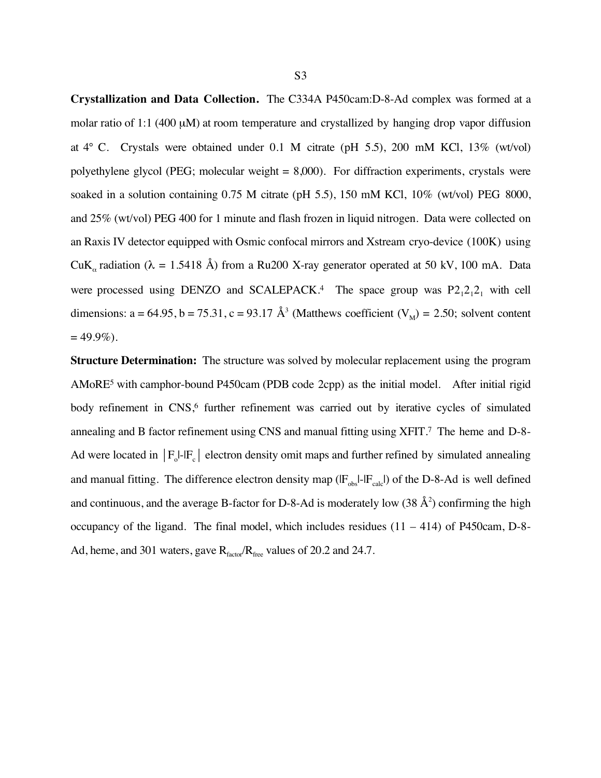**Crystallization and Data Collection.** The C334A P450cam:D-8-Ad complex was formed at a molar ratio of 1:1 (400  $\mu$ M) at room temperature and crystallized by hanging drop vapor diffusion at 4° C. Crystals were obtained under 0.1 M citrate (pH 5.5), 200 mM KCl, 13% (wt/vol) polyethylene glycol (PEG; molecular weight = 8,000). For diffraction experiments, crystals were soaked in a solution containing 0.75 M citrate (pH 5.5), 150 mM KCl, 10% (wt/vol) PEG 8000, and 25% (wt/vol) PEG 400 for 1 minute and flash frozen in liquid nitrogen. Data were collected on an Raxis IV detector equipped with Osmic confocal mirrors and Xstream cryo-device (100K) using CuK<sub>α</sub> radiation ( $\lambda = 1.5418$  Å) from a Ru200 X-ray generator operated at 50 kV, 100 mA. Data were processed using DENZO and SCALEPACK.<sup>4</sup> The space group was  $P2_12_12_1$  with cell dimensions: a = 64.95, b = 75.31, c = 93.17 Å<sup>3</sup> (Matthews coefficient  $(V_M)$  = 2.50; solvent content  $= 49.9\%$ ).

**Structure Determination:** The structure was solved by molecular replacement using the program AMoRE5 with camphor-bound P450cam (PDB code 2cpp) as the initial model. After initial rigid body refinement in CNS,<sup>6</sup> further refinement was carried out by iterative cycles of simulated annealing and B factor refinement using CNS and manual fitting using XFIT.7 The heme and D-8- Ad were located in  $|F_0|$ - $|F_c|$  electron density omit maps and further refined by simulated annealing and manual fitting. The difference electron density map  $(\mathbf{F}_{obs}|\cdot|\mathbf{F}_{calc})$  of the D-8-Ad is well defined and continuous, and the average B-factor for D-8-Ad is moderately low  $(38 \text{ Å}^2)$  confirming the high occupancy of the ligand. The final model, which includes residues (11 – 414) of P450cam, D-8- Ad, heme, and 301 waters, gave  $R_{\text{factor}}/R_{\text{free}}$  values of 20.2 and 24.7.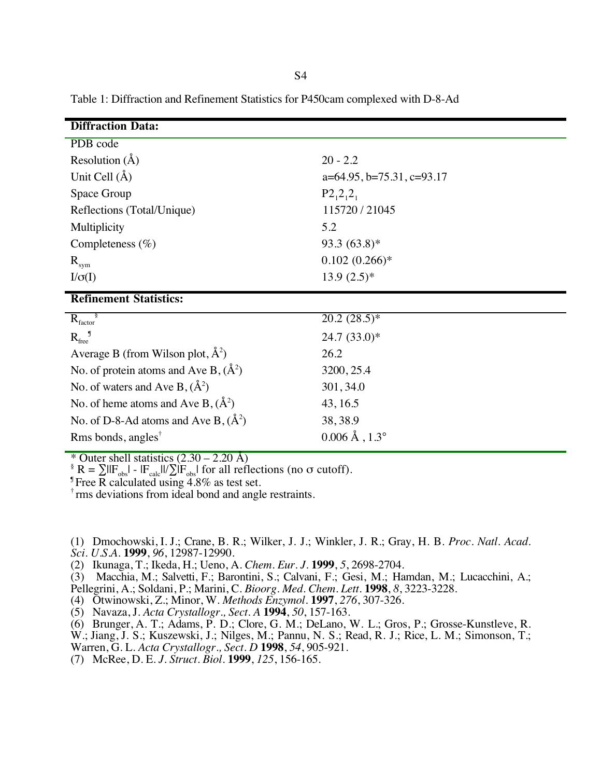| <b>Diffraction Data:</b>                          |                                   |
|---------------------------------------------------|-----------------------------------|
| PDB code                                          |                                   |
| Resolution $(\AA)$                                | $20 - 2.2$                        |
| Unit Cell $(\AA)$                                 | $a=64.95$ , $b=75.31$ , $c=93.17$ |
| Space Group                                       | $P2_12_12_1$                      |
| Reflections (Total/Unique)                        | 115720 / 21045                    |
| Multiplicity                                      | 5.2                               |
| Completeness $(\% )$                              | 93.3 $(63.8)*$                    |
| $R_{sym}$                                         | $0.102(0.266)*$                   |
| $I/\sigma(I)$                                     | $13.9(2.5)*$                      |
| <b>Refinement Statistics:</b>                     |                                   |
| $R_{\text{factor}}^{\S}$                          | $20.2(28.5)*$                     |
| $R_{\text{free}}^{\hspace{2mm}J}$                 | $24.7(33.0)*$                     |
| Average B (from Wilson plot, $\AA^2$ )            | 26.2                              |
| No. of protein atoms and Ave B, $(\AA^2)$         | 3200, 25.4                        |
| No. of waters and Ave B, $(\AA^2)$                | 301, 34.0                         |
| No. of heme atoms and Ave B, $(\AA^2)$            | 43, 16.5                          |
| No. of D-8-Ad atoms and Ave B, $(\AA^2)$          | 38, 38.9                          |
| Rms bonds, angles <sup><math>\dagger</math></sup> | $0.006 \,\text{\AA}$ , 1.3°       |

Table 1: Diffraction and Refinement Statistics for P450cam complexed with D-8-Ad

\* Outer shell statistics  $(2.30 - 2.20 \text{ Å})$ 

 $\frac{1}{2}$  R =  $\sum \frac{|F_{\text{obs}}|}{|F_{\text{obs}}|}$  -  $\frac{|F_{\text{calc}}|}{\sum |F_{\text{obs}}|}$  for all reflections (no  $\sigma$  cutoff).

Free R calculated using 4.8% as test set.

† rms deviations from ideal bond and angle restraints.

(1) Dmochowski, I. J.; Crane, B. R.; Wilker, J. J.; Winkler, J. R.; Gray, H. B. *Proc. Natl. Acad.*

*Sci. U.S.A.* **1999**, *96*, 12987-12990.

(2) Ikunaga, T.; Ikeda, H.; Ueno, A. *Chem. Eur. J.* **1999**, *5*, 2698-2704.

(3) Macchia, M.; Salvetti, F.; Barontini, S.; Calvani, F.; Gesi, M.; Hamdan, M.; Lucacchini, A.; Pellegrini, A.; Soldani, P.; Marini, C. *Bioorg. Med. Chem. Lett.* **1998**, *8*, 3223-3228.

(4) Otwinowski, Z.; Minor, W. *Methods Enzymol.* **1997**, *276*, 307-326.

(5) Navaza, J. *Acta Crystallogr., Sect. A* **1994**, *50*, 157-163.

(6) Brunger, A. T.; Adams, P. D.; Clore, G. M.; DeLano, W. L.; Gros, P.; Grosse-Kunstleve, R.

W.; Jiang, J. S.; Kuszewski, J.; Nilges, M.; Pannu, N. S.; Read, R. J.; Rice, L. M.; Simonson, T.; Warren, G. L. *Acta Crystallogr., Sect. D* **1998**, *54*, 905-921.

(7) McRee, D. E. *J. Struct. Biol.* **1999**, *125*, 156-165.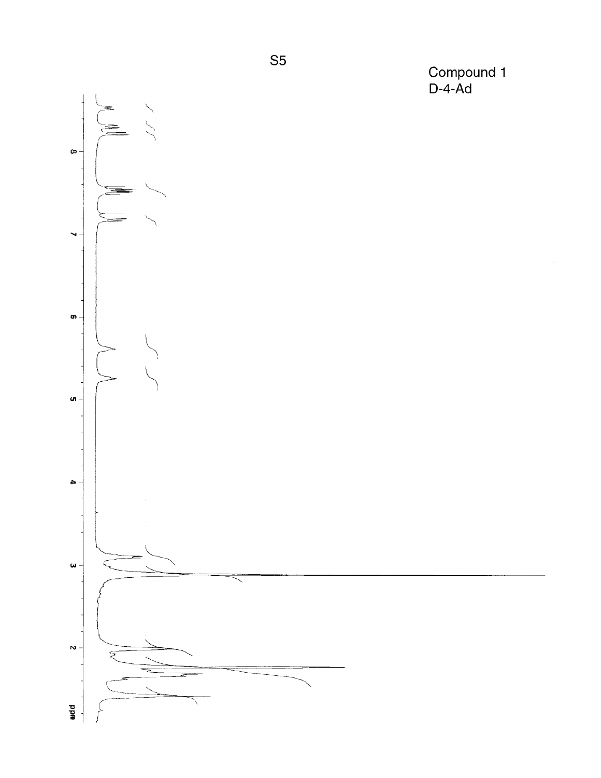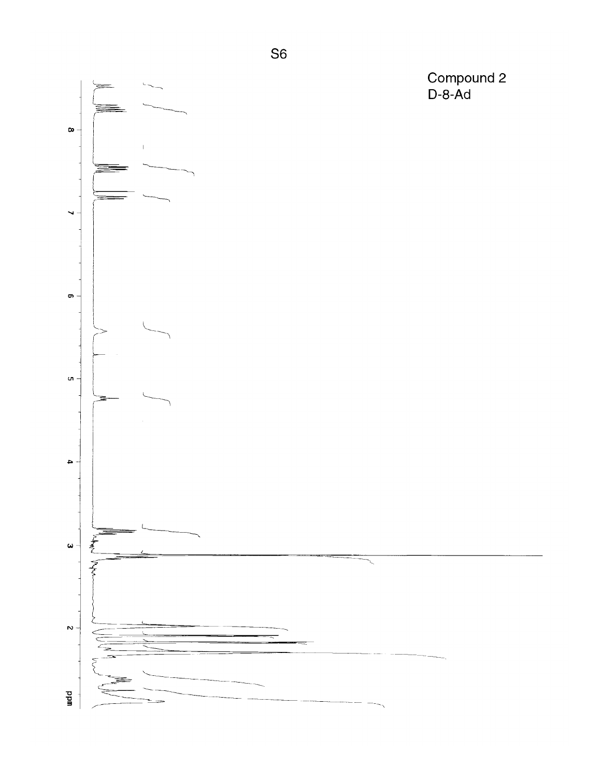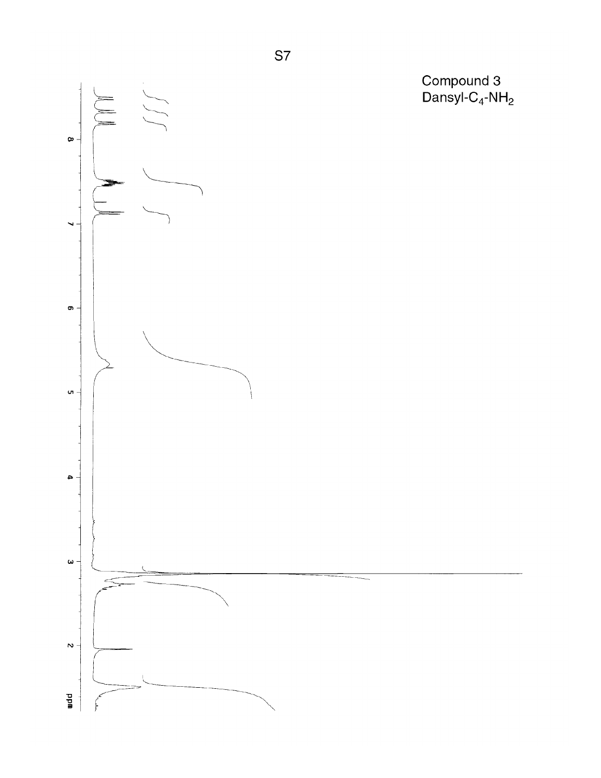